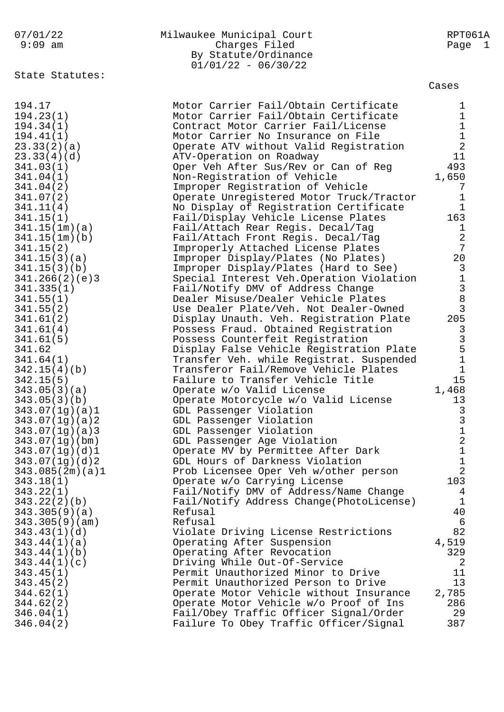## 07/01/22 Milwaukee Municipal Court RPT061A 9:09 am Charges Filed Page 1 By Statute/Ordinance  $01/01/22 - 06/30/22$

State Statutes:

| 194.17          | Motor Carrier Fail/Obtain Certificate    | $\mathbf{1}$                               |
|-----------------|------------------------------------------|--------------------------------------------|
| 194.23(1)       | Motor Carrier Fail/Obtain Certificate    | $\mathbf{1}$                               |
| 194.34(1)       | Contract Motor Carrier Fail/License      | $\mathbf{1}$                               |
| 194.41(1)       | Motor Carrier No Insurance on File       |                                            |
| 23.33(2)(a)     | Operate ATV without Valid Registration   | $\frac{1}{2}$                              |
| 23.33(4)(d)     |                                          | 11                                         |
|                 | ATV-Operation on Roadway                 |                                            |
| 341.03(1)       | Oper Veh After Sus/Rev or Can of Reg     | 493                                        |
| 341.04(1)       | Non-Registration of Vehicle              | 1,650                                      |
| 341.04(2)       | Improper Registration of Vehicle         | 7                                          |
| 341.07(2)       | Operate Unregistered Motor Truck/Tractor | $\mathbf{1}$                               |
| 341.11(4)       | No Display of Registration Certificate   | $\mathbf{1}$                               |
| 341.15(1)       | Fail/Display Vehicle License Plates      | 163                                        |
| 341.15(1m)(a)   | Fail/Attach Rear Regis. Decal/Tag        | $\mathbf{1}$                               |
| 341.15(1m)(b)   | Fail/Attach Front Regis. Decal/Tag       | 2                                          |
| 341.15(2)       | Improperly Attached License Plates       | $7\phantom{.0}$                            |
| 341.15(3)(a)    | Improper Display/Plates (No Plates)      | 20                                         |
| 341.15(3)(b)    | Improper Display/Plates (Hard to See)    | $\overline{3}$                             |
| 341.266(2)(e)3  | Special Interest Veh.Operation Violation | $\mathbf 1$                                |
| 341.335(1)      | Fail/Notify DMV of Address Change        |                                            |
| 341.55(1)       | Dealer Misuse/Dealer Vehicle Plates      |                                            |
| 341.55(2)       | Use Dealer Plate/Veh. Not Dealer-Owned   | $\begin{array}{c}\n 3 \\  3\n \end{array}$ |
| 341.61(2)       | Display Unauth. Veh. Registration Plate  | 205                                        |
| 341.61(4)       | Possess Fraud. Obtained Registration     | 3                                          |
| 341.61(5)       | Possess Counterfeit Registration         |                                            |
| 341.62          | Display False Vehicle Registration Plate | $\frac{3}{5}$                              |
| 341.64(1)       | Transfer Veh. while Registrat. Suspended | $\mathbf 1$                                |
| 342.15(4)(b)    | Transferor Fail/Remove Vehicle Plates    | $\mathbf{1}$                               |
| 342.15(5)       | Failure to Transfer Vehicle Title        | 15                                         |
| 343.05(3)(a)    | Operate w/o Valid License                | 1,468                                      |
|                 |                                          | 13                                         |
| 343.05(3)(b)    | Operate Motorcycle w/o Valid License     |                                            |
| 343.07(1g)(a)1  | GDL Passenger Violation                  | $\mathbf{3}$                               |
| 343.07(1g)(a)2  | GDL Passenger Violation                  | $\begin{array}{c} 3 \\ 1 \end{array}$      |
| 343.07(1g)(a)3  | GDL Passenger Violation                  |                                            |
| 343.07(1g)(bm)  | GDL Passenger Age Violation              | $\sqrt{2}$                                 |
| 343.07(1q)(d)1  | Operate MV by Permittee After Dark       | $\mathbf{1}$                               |
| 343.07(1g)(d)2  | GDL Hours of Darkness Violation          | $\mathbf{1}$                               |
| 343.085(2m)(a)1 | Prob Licensee Oper Veh w/other person    | $\overline{a}$                             |
| 343.18(1)       | Operate w/o Carrying License             | 103                                        |
| 343.22(1)       | Fail/Notify DMV of Address/Name Change   | $\overline{4}$                             |
| 343.22(2)(b)    | Fail/Notify Address Change(PhotoLicense) | $\mathbf{1}$                               |
| 343.305(9)(a)   | Refusal                                  | 40                                         |
| 343.305(9)(am)  | Refusal                                  | 6                                          |
| 343.43(1)(d)    | Violate Driving License Restrictions     | 82                                         |
| 343.44(1)(a)    | Operating After Suspension               | 4,519                                      |
| 343.44(1)(b)    | Operating After Revocation               | 329                                        |
| 343.44(1)(c)    | Driving While Out-Of-Service             | 2                                          |
| 343.45(1)       | Permit Unauthorized Minor to Drive       | 11                                         |
| 343.45(2)       | Permit Unauthorized Person to Drive      | 13                                         |
| 344.62(1)       | Operate Motor Vehicle without Insurance  | 2,785                                      |
| 344.62(2)       | Operate Motor Vehicle w/o Proof of Ins   | 286                                        |
| 346.04(1)       | Fail/Obey Traffic Officer Signal/Order   | 29                                         |
| 346.04(2)       | Failure To Obey Traffic Officer/Signal   | 387                                        |
|                 |                                          |                                            |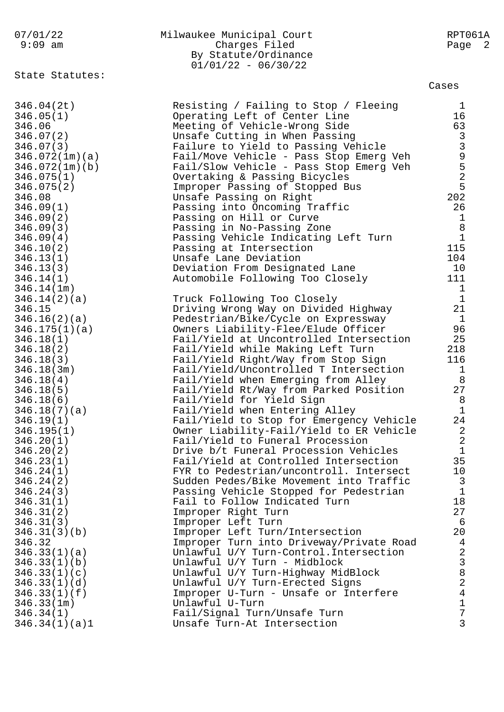| 07/01/22<br>9:09 am          | Milwaukee Municipal Court<br>Charges Filed<br>By Statute/Ordinance<br>$01/01/22 - 06/30/22$ | RPT061A<br>Page 2 |
|------------------------------|---------------------------------------------------------------------------------------------|-------------------|
| State Statutes:              |                                                                                             | Cases             |
| 346.04(2t)                   | Resisting / Failing to Stop / Fleeing                                                       | 1                 |
| 346.05(1)                    | Operating Left of Center Line                                                               | 16                |
| 346.06                       | Meeting of Vehicle-Wrong Side                                                               |                   |
| 346.07(2)                    | Unsafe Cutting in When Passing                                                              |                   |
| 346.07(3)                    | Failure to Yield to Passing Vehicle                                                         | 63339525          |
| 346.072(1m)(a)               | Fail/Move Vehicle - Pass Stop Emerg Veh                                                     |                   |
| 346.072(1m)(b)               | Fail/Slow Vehicle - Pass Stop Emerg Veh                                                     |                   |
| 346.075(1)                   | Overtaking & Passing Bicycles                                                               |                   |
| 346.075(2)                   | Improper Passing of Stopped Bus                                                             | 202               |
| 346.08<br>346.09(1)          | Unsafe Passing on Right<br>Passing into Oncoming Traffic                                    | 26                |
| 346.09(2)                    | Passing on Hill or Curve                                                                    | $\mathbf{1}$      |
| 346.09(3)                    | Passing in No-Passing Zone                                                                  | $\,8\,$           |
| 346.09(4)                    | Passing Vehicle Indicating Left Turn                                                        | $\mathbf{1}$      |
| 346.10(2)                    | Passing at Intersection                                                                     | 115               |
| 346.13(1)                    | Unsafe Lane Deviation                                                                       | 104               |
| 346.13(3)                    | Deviation From Designated Lane                                                              | 10                |
| 346.14(1)                    | Automobile Following Too Closely                                                            | 111               |
| 346.14(1m)                   |                                                                                             | 1                 |
| 346.14(2)(a)                 | Truck Following Too Closely                                                                 | $\mathbf{1}$      |
| 346.15                       | Driving Wrong Way on Divided Highway                                                        | 21                |
| 346.16(2)(a)                 | Pedestrian/Bike/Cycle on Expressway                                                         | $\mathbf{1}$      |
| 346.175(1)(a)                | Owners Liability-Flee/Elude Officer<br>Fail/Yield at Uncontrolled Intersection              | 96<br>25          |
| 346.18(1)<br>346.18(2)       | Fail/Yield while Making Left Turn                                                           | 218               |
| 346.18(3)                    | Fail/Yield Right/Way from Stop Sign                                                         | 116               |
| 346.18(3m)                   | Fail/Yield/Uncontrolled T Intersection                                                      | $\mathbf 1$       |
| 346.18(4)                    | Fail/Yield when Emerging from Alley                                                         | 8                 |
| 346.18(5)                    | Fail/Yield Rt/Way from Parked Position                                                      | 27                |
| 346.18(6)                    | Fail/Yield for Yield Sign                                                                   | 8                 |
| 346.18(7)(a)                 | Fail/Yield when Entering Alley                                                              | Ŧ                 |
| 346.19(1)                    | Fail/Yield to Stop for Emergency Vehicle                                                    | 24                |
| 346.195(1)                   | Owner Liability-Fail/Yield to ER Vehicle                                                    | 2                 |
| 346.20(1)                    | Fail/Yield to Funeral Procession<br>Drive b/t Funeral Procession Vehicles                   | 2<br>$\mathbf 1$  |
| 346.20(2)<br>346.23(1)       | Fail/Yield at Controlled Intersection                                                       | 35                |
| 346.24(1)                    | FYR to Pedestrian/uncontroll. Intersect                                                     | 10                |
| 346.24(2)                    | Sudden Pedes/Bike Movement into Traffic                                                     | 3                 |
| 346.24(3)                    | Passing Vehicle Stopped for Pedestrian                                                      | $\mathbf 1$       |
| 346.31(1)                    | Fail to Follow Indicated Turn                                                               | 18                |
| 346.31(2)                    | Improper Right Turn                                                                         | 27                |
| 346.31(3)                    | Improper Left Turn                                                                          | 6                 |
| 346.31(3)(b)                 | Improper Left Turn/Intersection                                                             | 20                |
| 346.32                       | Improper Turn into Driveway/Private Road                                                    | $\overline{4}$    |
| 346.33(1)(a)                 | Unlawful U/Y Turn-Control. Intersection                                                     | $\overline{2}$    |
| 346.33(1)(b)                 | Unlawful U/Y Turn - Midblock                                                                | 3<br>8            |
| 346.33(1)(c)<br>346.33(1)(d) | Unlawful U/Y Turn-Highway MidBlock<br>Unlawful U/Y Turn-Erected Signs                       | 2                 |
| 346.33(1)(f)                 | Improper U-Turn - Unsafe or Interfere                                                       | 4                 |
| 346.33(1m)                   | Unlawful U-Turn                                                                             | $\mathbf 1$       |
| 346.34(1)                    | Fail/Signal Turn/Unsafe Turn                                                                | 7                 |
| 346.34(1)(a)1                | Unsafe Turn-At Intersection                                                                 | 3                 |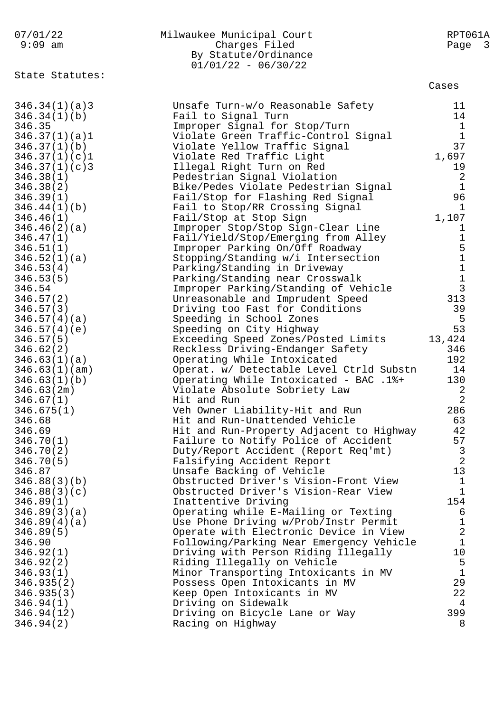| 07/01/22<br>$9:09$ am  | Milwaukee Municipal Court<br>Charges Filed<br>By Statute/Ordinance<br>$01/01/22 - 06/30/22$ | RPT061A<br>Page 3                               |
|------------------------|---------------------------------------------------------------------------------------------|-------------------------------------------------|
| State Statutes:        |                                                                                             | Cases                                           |
| 346.34(1)(a)3          | Unsafe Turn-w/o Reasonable Safety                                                           | 11                                              |
| 346.34(1)(b)           | Fail to Signal Turn                                                                         | 14                                              |
| 346.35                 | Improper Signal for Stop/Turn                                                               | $\mathbf{1}$                                    |
| 346.37(1)(a)1          | Violate Green Traffic-Control Signal                                                        | $\mathbf{1}$                                    |
| 346.37(1)(b)           | Violate Yellow Traffic Signal                                                               | 37                                              |
| 346.37(1)(c)1          | Violate Red Traffic Light                                                                   | 1,697                                           |
| 346.37(1)(c)3          | Illegal Right Turn on Red                                                                   | 19                                              |
| 346.38(1)              | Pedestrian Signal Violation                                                                 | $\boldsymbol{2}$                                |
| 346.38(2)              | Bike/Pedes Violate Pedestrian Signal                                                        | $\mathbf{1}$                                    |
| 346.39(1)              | Fail/Stop for Flashing Red Signal                                                           | 96                                              |
| 346.44(1)(b)           | Fail to Stop/RR Crossing Signal                                                             | $\mathbf{1}$                                    |
| 346.46(1)              | Fail/Stop at Stop Sign                                                                      | 1,107                                           |
| 346.46(2)(a)           | Improper Stop/Stop Sign-Clear Line                                                          | $\mathbf{1}$<br>$\mathbf 1$                     |
| 346.47(1)<br>346.51(1) | Fail/Yield/Stop/Emerging from Alley<br>Improper Parking On/Off Roadway                      |                                                 |
| 346.52(1)(a)           | Stopping/Standing w/i Intersection                                                          | $\begin{array}{c} 5 \\ 1 \\ 1 \\ 3 \end{array}$ |
| 346.53(4)              | Parking/Standing in Driveway                                                                |                                                 |
| 346.53(5)              | Parking/Standing near Crosswalk                                                             |                                                 |
| 346.54                 | Improper Parking/Standing of Vehicle                                                        |                                                 |
| 346.57(2)              | Unreasonable and Imprudent Speed                                                            | 313                                             |
| 346.57(3)              | Driving too Fast for Conditions                                                             | 39                                              |
| 346.57(4)(a)           | Speeding in School Zones                                                                    | 5                                               |
| 346.57(4)(e)           | Speeding on City Highway                                                                    | 53                                              |
| 346.57(5)              | Exceeding Speed Zones/Posted Limits                                                         | 13,424                                          |
| 346.62(2)              | Reckless Driving-Endanger Safety                                                            | 346                                             |
| 346.63(1)(a)           | Operating While Intoxicated                                                                 | 192                                             |
| 346.63(1)(am)          | Operat. w/ Detectable Level Ctrld Substn                                                    | 14                                              |
| 346.63(1)(b)           | Operating While Intoxicated - BAC .1%+                                                      | 130                                             |
| 346.63(2m)             | Violate Absolute Sobriety Law                                                               | 2                                               |
| 346.67(1)              | Hit and Run                                                                                 | $\overline{2}$                                  |
| 346.675(1)             | Veh Owner Liability-Hit and Run                                                             | 286                                             |
| 346.68                 | Hit and Run-Unattended Vehicle                                                              | 63                                              |
| 346.69                 | Hit and Run-Property Adjacent to Highway<br>Failure to Notify Police of Accident            | 42<br>57                                        |
| 346.70(1)<br>346.70(2) | Duty/Report Accident (Report Req'mt)                                                        | 3                                               |
| 346.70(5)              | Falsifying Accident Report                                                                  | $\overline{2}$                                  |
| 346.87                 | Unsafe Backing of Vehicle                                                                   | 13                                              |
| 346.88(3)(b)           | Obstructed Driver's Vision-Front View                                                       | $\mathbf{1}$                                    |
| 346.88(3)(c)           | Obstructed Driver's Vision-Rear View                                                        | 1                                               |
| 346.89(1)              | Inattentive Driving                                                                         | 154                                             |
| 346.89(3)(a)           | Operating while E-Mailing or Texting                                                        | 6                                               |
| 346.89(4)(a)           | Use Phone Driving w/Prob/Instr Permit                                                       | 1                                               |
| 346.89(5)              | Operate with Electronic Device in View                                                      | $\overline{2}$                                  |
| 346.90                 | Following/Parking Near Emergency Vehicle                                                    | $\mathbf{1}$                                    |
| 346.92(1)              | Driving with Person Riding Illegally                                                        | 10                                              |
| 346.92(2)              | Riding Illegally on Vehicle                                                                 | 5                                               |
| 346.93(1)              | Minor Transporting Intoxicants in MV                                                        | $\mathbf{1}$                                    |
| 346.935(2)             | Possess Open Intoxicants in MV                                                              | 29                                              |
| 346.935(3)             | Keep Open Intoxicants in MV                                                                 | 22                                              |
| 346.94(1)              | Driving on Sidewalk                                                                         | 4                                               |
| 346.94(12)             | Driving on Bicycle Lane or Way                                                              | 399                                             |
| 346.94(2)              | Racing on Highway                                                                           | 8                                               |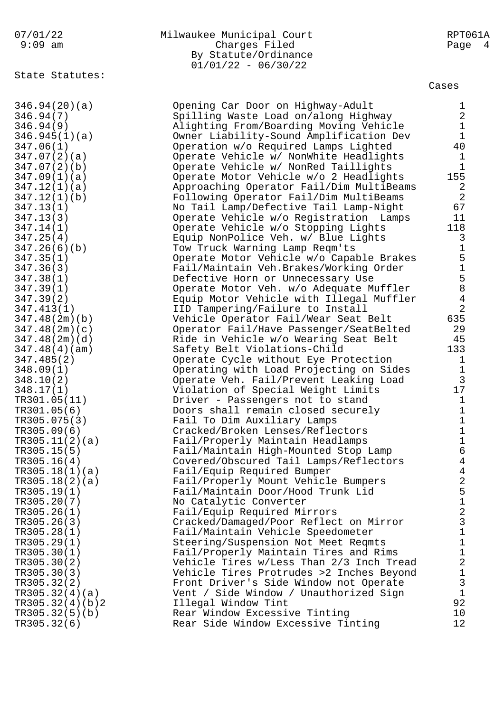| 07/01/22 | Milwaukee Municipal Court | RPT061A |
|----------|---------------------------|---------|
| 9:09 am  | Charges Filed             | Page 4  |
|          | By Statute/Ordinance      |         |
|          | $01/01/22 - 06/30/22$     |         |

State Statutes:

|              |              |                                              |                                         |                                              |                                                      | 346.94(20)(a)                                                                                        |                          |                                  |                    |   |            |  |
|--------------|--------------|----------------------------------------------|-----------------------------------------|----------------------------------------------|------------------------------------------------------|------------------------------------------------------------------------------------------------------|--------------------------|----------------------------------|--------------------|---|------------|--|
|              |              |                                              | 346.94(                                 |                                              |                                                      | 7)                                                                                                   |                          |                                  |                    |   |            |  |
|              |              |                                              |                                         |                                              |                                                      | 346.94(9<br>346.945(1)(a)                                                                            | $\big)$                  |                                  |                    |   |            |  |
|              |              |                                              | 347.06(                                 |                                              |                                                      | 1)                                                                                                   |                          |                                  |                    |   |            |  |
|              | 347          |                                              | 347.07<br>.07                           |                                              | $\overline{\phantom{a}}$                             | $\overline{a}$<br>$2$ )                                                                              | )                        |                                  | (a)                |   |            |  |
|              | 347          |                                              |                                         |                                              | $\overline{\phantom{a}}$<br>$\overline{\phantom{a}}$ | 1)                                                                                                   |                          |                                  | (b)<br>(a)         |   |            |  |
|              | 347          |                                              | .09<br>.12                              |                                              | $\overline{\phantom{a}}$                             | $1)$                                                                                                 |                          |                                  | (a)                |   |            |  |
|              | 347          | $\ddot{\phantom{a}}$                         | 12<br>13                                |                                              | $\overline{\phantom{a}}$                             | 1)                                                                                                   |                          |                                  | (b)                |   |            |  |
|              | 347.<br>347. |                                              | 13(                                     |                                              | $\overline{\phantom{a}}$                             | 1)<br>$\overline{3}$                                                                                 | )                        |                                  |                    |   |            |  |
|              | 347.         |                                              | 14                                      |                                              | $\overline{\phantom{a}}$                             | 1)                                                                                                   |                          |                                  |                    |   |            |  |
|              | 347.         |                                              | 25                                      |                                              | $\overline{\phantom{a}}$                             | $\overline{4}$                                                                                       | $\big)$                  |                                  |                    |   |            |  |
|              | 347<br>347   | $\ddot{\phantom{a}}$<br>$\ddot{\phantom{0}}$ | 26(<br>35                               |                                              | $\overline{\phantom{a}}$                             | 6)<br>$\overline{1}$                                                                                 | $\big)$                  |                                  | (b)                |   |            |  |
|              | 347.         |                                              | 36(                                     |                                              |                                                      | $\overline{3}$                                                                                       | )                        |                                  |                    |   |            |  |
|              |              |                                              | 347.38                                  |                                              | $\overline{\phantom{a}}$                             | $\mathbf{1}$                                                                                         | $\big)$                  |                                  |                    |   |            |  |
|              |              |                                              | 347.39(<br>347.39(                      |                                              |                                                      | 1)<br>2)                                                                                             |                          |                                  |                    |   |            |  |
|              |              |                                              |                                         |                                              |                                                      | 347.413(1)                                                                                           |                          |                                  |                    |   |            |  |
|              |              |                                              |                                         |                                              |                                                      | 347.48(2m)(b)                                                                                        |                          |                                  |                    |   |            |  |
|              |              |                                              |                                         |                                              |                                                      | 347.48(2m)(c<br>347.48(2m)(d                                                                         |                          |                                  |                    |   | )          |  |
|              |              |                                              | 347.48(                                 |                                              |                                                      | $4)$ (                                                                                               |                          |                                  | am)                |   | )          |  |
|              |              |                                              |                                         |                                              |                                                      | (2)                                                                                                  |                          | $\mathcal{E}$                    |                    |   |            |  |
|              |              |                                              | $347.485$ $348.09($ $348.10($ $348.17($ |                                              |                                                      | 1)<br>$\overline{a}$                                                                                 |                          |                                  |                    |   |            |  |
|              |              |                                              | 10 (                                    |                                              |                                                      |                                                                                                      | )                        |                                  |                    |   |            |  |
|              |              |                                              |                                         |                                              |                                                      | 348.10(2)<br>348.17(1)<br>TR301.05(<br>TR305.075<br>TR305.09(<br>TR305.11(<br>TR305.15(<br>TR305.16( |                          |                                  | 11)                |   |            |  |
|              |              |                                              |                                         |                                              |                                                      |                                                                                                      |                          | б                                | $\big)$            |   |            |  |
|              |              |                                              |                                         |                                              |                                                      |                                                                                                      |                          | $\overline{\phantom{a}}$<br>$6)$ | 3                  | ) |            |  |
|              |              |                                              |                                         |                                              |                                                      |                                                                                                      |                          | $\frac{1}{2}$                    |                    |   | (a)        |  |
|              |              |                                              |                                         |                                              |                                                      |                                                                                                      |                          | $\frac{5}{4}$                    | $\big)$            |   |            |  |
|              |              |                                              |                                         |                                              |                                                      | TR305.18(1)                                                                                          |                          |                                  | $\big)$            |   | (a)        |  |
| <b>TR305</b> |              |                                              |                                         |                                              |                                                      | .18(2)                                                                                               |                          |                                  |                    |   | (a)        |  |
|              |              |                                              |                                         |                                              |                                                      | TR305.19                                                                                             | $\overline{\phantom{a}}$ | $\mathbf{1}$                     | $\big)$            |   |            |  |
|              |              |                                              | TR305                                   | $\ddot{\phantom{a}}$                         |                                                      | TR305.20(<br>26                                                                                      |                          | $(7$<br>$(1$<br>$(3)$            | $\big)$<br>)       |   |            |  |
|              |              |                                              | TR305                                   | $\ddot{\phantom{a}}$                         |                                                      | 26                                                                                                   | $\overline{\phantom{a}}$ |                                  | )                  |   |            |  |
|              |              |                                              | TR305                                   | $\ddot{\phantom{0}}$                         |                                                      | 28(                                                                                                  |                          | $\mathbf 1$                      | )                  |   |            |  |
|              |              |                                              | TR305<br>TR305                          | $\ddot{\phantom{0}}$<br>$\ddot{\phantom{0}}$ |                                                      | 29 (                                                                                                 |                          | $\mathbf{1}$<br>$\mathbf{1}$     | )<br>)             |   |            |  |
|              |              |                                              | TR305                                   | $\ddot{\phantom{0}}$                         |                                                      |                                                                                                      |                          | $\overline{a}$                   | )                  |   |            |  |
|              |              |                                              | TR305                                   | $\ddot{\phantom{a}}$                         |                                                      | $30($<br>$30($<br>$30($<br>$32($<br>$32($<br>$32($                                                   |                          | $\frac{3}{2}$                    | )                  |   |            |  |
|              |              |                                              | TR305.<br>TR305.                        |                                              |                                                      |                                                                                                      |                          | $\frac{1}{4}$                    | )                  |   |            |  |
|              |              |                                              | TR305.                                  |                                              |                                                      |                                                                                                      |                          | $\overline{4}$                   | $\big)$<br>$\big)$ |   | (a)<br>(b) |  |
|              |              |                                              | TR305.                                  |                                              |                                                      |                                                                                                      |                          |                                  | 5)                 |   | (b)        |  |
|              |              |                                              | TR305.                                  |                                              |                                                      |                                                                                                      |                          | б                                | $\big)$            |   |            |  |

Cases

| 346.94(20)(a)   | Opening Car Door on Highway-Adult        | $\mathbf{1}$   |
|-----------------|------------------------------------------|----------------|
| 346.94(7)       | Spilling Waste Load on/along Highway     | $\overline{c}$ |
| 346.94(9)       | Alighting From/Boarding Moving Vehicle   | $\mathbf{1}$   |
| 346.945(1)(a)   | Owner Liability-Sound Amplification Dev  | $\mathbf{1}$   |
| 347.06(1)       | Operation w/o Required Lamps Lighted     | 40             |
| 347.07(2)(a)    | Operate Vehicle w/ NonWhite Headlights   | $\mathbf{1}$   |
| 347.07(2)(b)    | Operate Vehicle w/ NonRed Taillights     | $\mathbf{1}$   |
| 347.09(1)(a)    | Operate Motor Vehicle w/o 2 Headlights   | 155            |
| 347.12(1)(a)    | Approaching Operator Fail/Dim MultiBeams | $\overline{2}$ |
| 347.12(1)(b)    | Following Operator Fail/Dim MultiBeams   | $\overline{2}$ |
| 347.13(1)       | No Tail Lamp/Defective Tail Lamp-Night   | 67             |
| 347.13(3)       | Operate Vehicle w/o Registration Lamps   | 11             |
| 347.14(1)       | Operate Vehicle w/o Stopping Lights      | 118            |
|                 |                                          |                |
| 347.25(4)       | Equip NonPolice Veh. w/ Blue Lights      | $\overline{3}$ |
| 347.26(6)(b)    | Tow Truck Warning Lamp Reqm'ts           | $\mathbf{1}$   |
| 347.35(1)       | Operate Motor Vehicle w/o Capable Brakes | 5              |
| 347.36(3)       | Fail/Maintain Veh.Brakes/Working Order   | $\mathbf{1}$   |
| 347.38(1)       | Defective Horn or Unnecessary Use        | 5              |
| 347.39(1)       | Operate Motor Veh. w/o Adequate Muffler  | 8              |
| 347.39(2)       | Equip Motor Vehicle with Illegal Muffler | $\overline{4}$ |
| 347.413(1)      | IID Tampering/Failure to Install         | $\overline{2}$ |
| 347.48(2m)(b)   | Vehicle Operator Fail/Wear Seat Belt     | 635            |
| 347.48(2m)(c)   | Operator Fail/Have Passenger/SeatBelted  | 29             |
| 347.48(2m)(d)   | Ride in Vehicle w/o Wearing Seat Belt    | 45             |
| 347.48(4)(am)   | Safety Belt Violations-Child             | 133            |
| 347.485(2)      | Operate Cycle without Eye Protection     | $\mathbf{1}$   |
| 348.09(1)       | Operating with Load Projecting on Sides  | $\frac{1}{3}$  |
| 348.10(2)       | Operate Veh. Fail/Prevent Leaking Load   |                |
| 348.17(1)       | Violation of Special Weight Limits       | 17             |
| TR301.05(11)    | Driver - Passengers not to stand         | $\mathbf{1}$   |
| TR301.05(6)     | Doors shall remain closed securely       |                |
| TR305.075(3)    | Fail To Dim Auxiliary Lamps              | 11116          |
| TR305.09(6)     | Cracked/Broken Lenses/Reflectors         |                |
| TR305.11(2)(a)  | Fail/Properly Maintain Headlamps         |                |
| TR305.15(5)     | Fail/Maintain High-Mounted Stop Lamp     |                |
| TR305.16(4)     | Covered/Obscured Tail Lamps/Reflectors   | $\overline{4}$ |
| TR305.18(1)(a)  | Fail/Equip Required Bumper               | $\overline{4}$ |
| TR305.18(2)(a)  | Fail/Properly Mount Vehicle Bumpers      | 4              |
| TR305.19(1)     | Fail/Maintain Door/Hood Trunk Lid        | 5              |
| TR305.20(7)     | No Catalytic Converter                   |                |
| TR305.26(1)     | Fail/Equip Required Mirrors              | $\frac{1}{2}$  |
| TR305.26(3)     | Cracked/Damaged/Poor Reflect on Mirror   | 3              |
| TR305.28(1)     | Fail/Maintain Vehicle Speedometer        | $\mathbf{1}$   |
| TR305.29(1)     | Steering/Suspension Not Meet Reqmts      | $\mathbf{1}$   |
| TR305.30(1)     | Fail/Properly Maintain Tires and Rims    | $\mathbf{1}$   |
| TR305.30(2)     | Vehicle Tires w/Less Than 2/3 Inch Tread | $\overline{2}$ |
| TR305.30(3)     | Vehicle Tires Protrudes >2 Inches Beyond |                |
| TR305.32(2)     | Front Driver's Side Window not Operate   | $\frac{1}{3}$  |
| TR305.32(4)(a)  | Vent / Side Window / Unauthorized Sign   | $\mathbf{1}$   |
| TR305.32(4)(b)2 | Illegal Window Tint                      | 92             |
| TR305.32(5)(b)  | Rear Window Excessive Tinting            | 10             |
| TR305.32(6)     | Rear Side Window Excessive Tinting       | 12             |
|                 |                                          |                |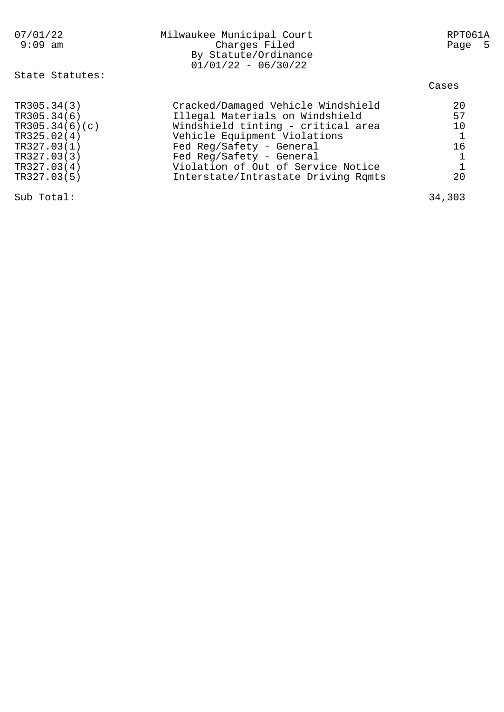| 07/01/22<br>$9:09$ am | Milwaukee Municipal Court<br>Charges Filed<br>By Statute/Ordinance<br>$01/01/22 - 06/30/22$ | RPT061A<br>Page 5 |
|-----------------------|---------------------------------------------------------------------------------------------|-------------------|
| State Statutes:       |                                                                                             | Cases             |
| TR305.34(3)           | Cracked/Damaged Vehicle Windshield                                                          | 20                |
| TR305.34(6)           | Illegal Materials on Windshield                                                             | 57                |
| TR305.34(6)(c)        | Windshield tinting - critical area                                                          | 10                |
| TR325.02(4)           | Vehicle Equipment Violations                                                                | $\mathbf{1}$      |
| TR327.03(1)           | Fed Reg/Safety - General                                                                    | 16                |
| TR327.03(3)           | Fed Reg/Safety - General                                                                    |                   |
| TR327.03(4)           | Violation of Out of Service Notice                                                          | $\mathbf{1}$      |
| TR327.03(5)           | Interstate/Intrastate Driving Rqmts                                                         | 20                |
| Sub Total:            |                                                                                             | 34,303            |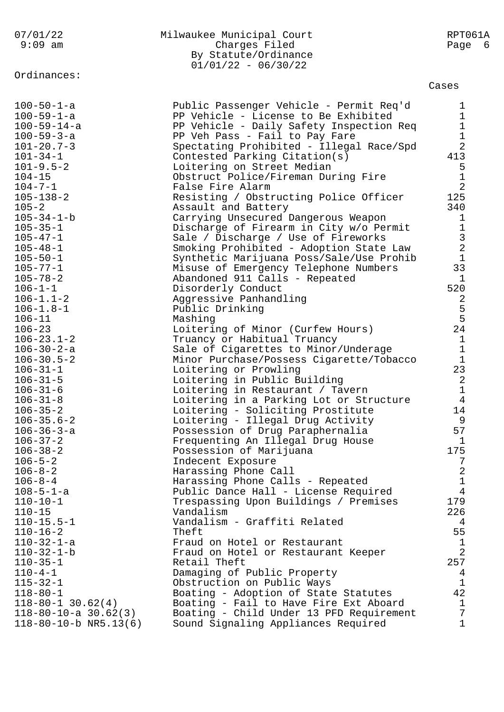| 07/01/22<br>$9:09$ am                                                      | Milwaukee Municipal Court<br>Charges Filed<br>By Statute/Ordinance<br>$01/01/22 - 06/30/22$                                               | RPT061A<br>Page<br>- 6               |
|----------------------------------------------------------------------------|-------------------------------------------------------------------------------------------------------------------------------------------|--------------------------------------|
| Ordinances:                                                                |                                                                                                                                           | Cases                                |
| $100 - 50 - 1 - a$                                                         | Public Passenger Vehicle - Permit Req'd                                                                                                   | 1                                    |
| $100 - 59 - 1 - a$                                                         | PP Vehicle - License to Be Exhibited                                                                                                      | 1                                    |
| $100 - 59 - 14 - a$                                                        | PP Vehicle - Daily Safety Inspection Req                                                                                                  | 1                                    |
| $100 - 59 - 3 - a$                                                         | PP Veh Pass - Fail to Pay Fare                                                                                                            | $\mathbf 1$                          |
| $101 - 20.7 - 3$                                                           | Spectating Prohibited - Illegal Race/Spd                                                                                                  | $\overline{2}$                       |
| $101 - 34 - 1$                                                             | Contested Parking Citation(s)                                                                                                             | 413                                  |
| $101 - 9.5 - 2$                                                            | Loitering on Street Median                                                                                                                | 5                                    |
| $104 - 15$                                                                 | Obstruct Police/Fireman During Fire                                                                                                       | $\mathbf 1$                          |
| $104 - 7 - 1$                                                              | False Fire Alarm                                                                                                                          | $\overline{2}$                       |
| $105 - 138 - 2$                                                            | Resisting / Obstructing Police Officer                                                                                                    | 125                                  |
| $105 - 2$                                                                  | Assault and Battery                                                                                                                       | 340                                  |
| $105 - 34 - 1 - b$                                                         | Carrying Unsecured Dangerous Weapon                                                                                                       | 1                                    |
| $105 - 35 - 1$                                                             | Discharge of Firearm in City w/o Permit                                                                                                   | $1\,$                                |
| $105 - 47 - 1$                                                             | Sale / Discharge / Use of Fireworks                                                                                                       | $\overline{3}$                       |
| $105 - 48 - 1$                                                             | Smoking Prohibited - Adoption State Law                                                                                                   | $\overline{2}$                       |
| $105 - 50 - 1$                                                             | Synthetic Marijuana Poss/Sale/Use Prohib                                                                                                  | $\mathbf{1}$                         |
| $105 - 77 - 1$                                                             | Misuse of Emergency Telephone Numbers                                                                                                     | 33                                   |
| $105 - 78 - 2$                                                             | Abandoned 911 Calls - Repeated                                                                                                            | $\mathbf{1}$                         |
| $106 - 1 - 1$                                                              | Disorderly Conduct                                                                                                                        | 520                                  |
| $106 - 1.1 - 2$                                                            | Aggressive Panhandling                                                                                                                    | 2                                    |
| $106 - 1.8 - 1$                                                            | Public Drinking                                                                                                                           | 5                                    |
| $106 - 11$<br>$106 - 23$<br>$106 - 23.1 - 2$                               | Mashing<br>Loitering of Minor (Curfew Hours)<br>Truancy or Habitual Truancy                                                               | 5<br>24<br>$\mathbf{1}$<br>$1\,$     |
| $106 - 30 - 2 - a$<br>$106 - 30.5 - 2$<br>$106 - 31 - 1$<br>$106 - 31 - 5$ | Sale of Cigarettes to Minor/Underage<br>Minor Purchase/Possess Cigarette/Tobacco<br>Loitering or Prowling<br>Loitering in Public Building | $\mathbf{1}$<br>23<br>$\overline{2}$ |
| $106 - 31 - 6$                                                             | Loitering in Restaurant / Tavern                                                                                                          | $\mathbf{1}$                         |
| $106 - 31 - 8$                                                             | Loitering in a Parking Lot or Structure                                                                                                   | $\overline{4}$                       |
| $106 - 35 - 2$                                                             | Loitering - Soliciting Prostitute                                                                                                         | 14                                   |
| $106 - 35.6 - 2$                                                           | Loitering - Illegal Drug Activity                                                                                                         | 9                                    |
| $106 - 36 - 3 - a$                                                         | Possession of Drug Paraphernalia                                                                                                          | 57                                   |
| $106 - 37 - 2$                                                             | Frequenting An Illegal Drug House                                                                                                         | $\mathbf{1}$                         |
| $106 - 38 - 2$                                                             | Possession of Marijuana                                                                                                                   | 175                                  |
| $106 - 5 - 2$                                                              | Indecent Exposure                                                                                                                         | 7                                    |
| $106 - 8 - 2$                                                              | Harassing Phone Call                                                                                                                      | 2                                    |
| $106 - 8 - 4$                                                              | Harassing Phone Calls - Repeated                                                                                                          | $\mathbf 1$                          |
| $108 - 5 - 1 - a$                                                          | Public Dance Hall - License Required                                                                                                      | 4                                    |
| $110 - 10 - 1$                                                             | Trespassing Upon Buildings / Premises                                                                                                     | 179                                  |
| $110 - 15$                                                                 | Vandalism                                                                                                                                 | 226                                  |
| $110 - 15.5 - 1$                                                           | Vandalism - Graffiti Related                                                                                                              | 4                                    |
| $110 - 16 - 2$                                                             | Theft                                                                                                                                     | 55                                   |
| $110 - 32 - 1 - a$                                                         | Fraud on Hotel or Restaurant                                                                                                              | $\mathbf{1}$                         |
| $110 - 32 - 1 - b$                                                         | Fraud on Hotel or Restaurant Keeper                                                                                                       | 2                                    |
| $110 - 35 - 1$                                                             | Retail Theft                                                                                                                              | 257                                  |
| $110 - 4 - 1$                                                              | Damaging of Public Property                                                                                                               | 4                                    |
| $115 - 32 - 1$                                                             | Obstruction on Public Ways                                                                                                                | $\mathbf{1}$                         |
| $118 - 80 - 1$                                                             | Boating - Adoption of State Statutes                                                                                                      | 42                                   |
| $118 - 80 - 1$ 30.62(4)                                                    | Boating - Fail to Have Fire Ext Aboard                                                                                                    | $\mathbf{1}$                         |
| $118 - 80 - 10 - a$ 30.62(3)                                               | Boating - Child Under 13 PFD Requirement                                                                                                  | 7                                    |
| $118 - 80 - 10 - b$ NR5.13(6)                                              | Sound Signaling Appliances Required                                                                                                       | $\mathbf 1$                          |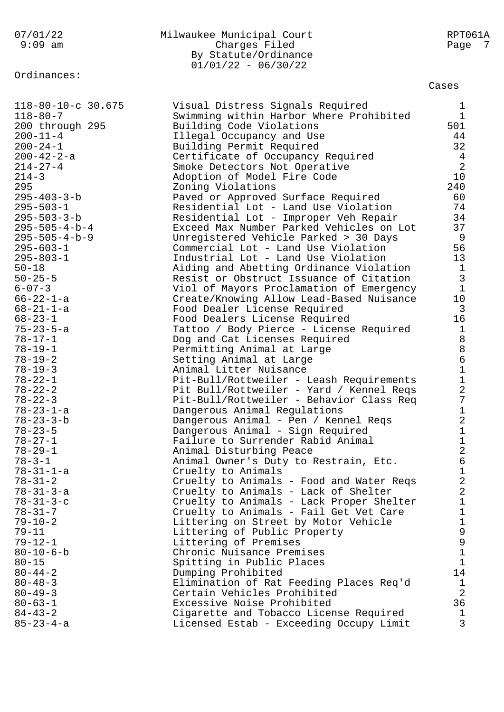Ordinances:

## 07/01/22 Milwaukee Municipal Court RPT061A 9:09 am Charges Filed Page 7 By Statute/Ordinance 01/01/22 - 06/30/22

Cases

| 118-80-10-c 30.675      | Visual Distress Signals Required         | $\mathbf{1}$   |
|-------------------------|------------------------------------------|----------------|
| $118 - 80 - 7$          | Swimming within Harbor Where Prohibited  | $\mathbf{1}$   |
| 200 through 295         | Building Code Violations                 | 501            |
| $200 - 11 - 4$          | Illegal Occupancy and Use                | 44             |
| $200 - 24 - 1$          | Building Permit Required                 | 32             |
| $200 - 42 - 2 - a$      | Certificate of Occupancy Required        | $\overline{4}$ |
| $214 - 27 - 4$          | Smoke Detectors Not Operative            | 2              |
| $214 - 3$               | Adoption of Model Fire Code              | 10             |
| 295                     | Zoning Violations                        | 240            |
| $295 - 403 - 3 - b$     | Paved or Approved Surface Required       | 60             |
| $295 - 503 - 1$         | Residential Lot - Land Use Violation     | 74             |
| $295 - 503 - 3 - b$     | Residential Lot - Improper Veh Repair    | 34             |
| $295 - 505 - 4 - b - 4$ | Exceed Max Number Parked Vehicles on Lot | 37             |
| $295 - 505 - 4 - b - 9$ | Unregistered Vehicle Parked > 30 Days    | -9             |
| $295 - 603 - 1$         | Commercial Lot - Land Use Violation      | 56             |
| $295 - 803 - 1$         | Industrial Lot - Land Use Violation      | 13             |
| $50 - 18$               | Aiding and Abetting Ordinance Violation  | $\mathbf{1}$   |
| $50 - 25 - 5$           | Resist or Obstruct Issuance of Citation  | $\overline{3}$ |
| $6 - 07 - 3$            | Viol of Mayors Proclamation of Emergency | $\mathbf{1}$   |
| $66 - 22 - 1 - a$       | Create/Knowing Allow Lead-Based Nuisance | 10             |
| $68 - 21 - 1 - a$       | Food Dealer License Required             | $\overline{3}$ |
| $68 - 23 - 1$           | Food Dealers License Required            | 16             |
| $75 - 23 - 5 - a$       | Tattoo / Body Pierce - License Required  | $\mathbf{1}$   |
| $78 - 17 - 1$           | Dog and Cat Licenses Required            | $\,8\,$        |
| $78 - 19 - 1$           | Permitting Animal at Large               | $\,8\,$        |
| $78 - 19 - 2$           | Setting Animal at Large                  | $\epsilon$     |
| $78 - 19 - 3$           | Animal Litter Nuisance                   | $\mathbf 1$    |
| $78 - 22 - 1$           | Pit-Bull/Rottweiler - Leash Requirements | $\mathbf{1}$   |
| $78 - 22 - 2$           | Pit Bull/Rottweiler - Yard / Kennel Reqs | $\overline{2}$ |
| $78 - 22 - 3$           | Pit-Bull/Rottweiler - Behavior Class Req | 7              |
| $78 - 23 - 1 - a$       | Dangerous Animal Regulations             | $\mathbf 1$    |
| $78 - 23 - 3 - b$       | Dangerous Animal - Pen / Kennel Reqs     | $\overline{2}$ |
| $78 - 23 - 5$           | Dangerous Animal - Sign Required         | $\mathbf 1$    |
| $78 - 27 - 1$           | Failure to Surrender Rabid Animal        | $\mathbf 1$    |
| $78 - 29 - 1$           | Animal Disturbing Peace                  | $\overline{2}$ |
| $78 - 3 - 1$            | Animal Owner's Duty to Restrain, Etc.    | $\sqrt{6}$     |
| $78 - 31 - 1 - a$       | Cruelty to Animals                       | 1              |
| $78 - 31 - 2$           | Cruelty to Animals - Food and Water Reqs | $\mathbf{2}$   |
| $78 - 31 - 3 - a$       | Cruelty to Animals - Lack of Shelter     | $\overline{2}$ |
| $78 - 31 - 3 - c$       | Cruelty to Animals - Lack Proper Shelter | 1              |
| $78 - 31 - 7$           | Cruelty to Animals - Fail Get Vet Care   | 1              |
| $79 - 10 - 2$           | Littering on Street by Motor Vehicle     | 1              |
| $79 - 11$               | Littering of Public Property             | 9              |
| $79 - 12 - 1$           | Littering of Premises                    | $\mathsf 9$    |
| $80 - 10 - 6 - b$       | Chronic Nuisance Premises                | $1\,$          |
| $80 - 15$               | Spitting in Public Places                | $\mathbf{1}$   |
| $80 - 44 - 2$           | Dumping Prohibited                       | 14             |
| $80 - 48 - 3$           | Elimination of Rat Feeding Places Req'd  | $\mathbf 1$    |
| $80 - 49 - 3$           | Certain Vehicles Prohibited              | $\overline{2}$ |
| $80 - 63 - 1$           | Excessive Noise Prohibited               | 36             |
| $84 - 43 - 2$           | Cigarette and Tobacco License Required   | $\mathbf 1$    |
| $85 - 23 - 4 - a$       | Licensed Estab - Exceeding Occupy Limit  | 3              |
|                         |                                          |                |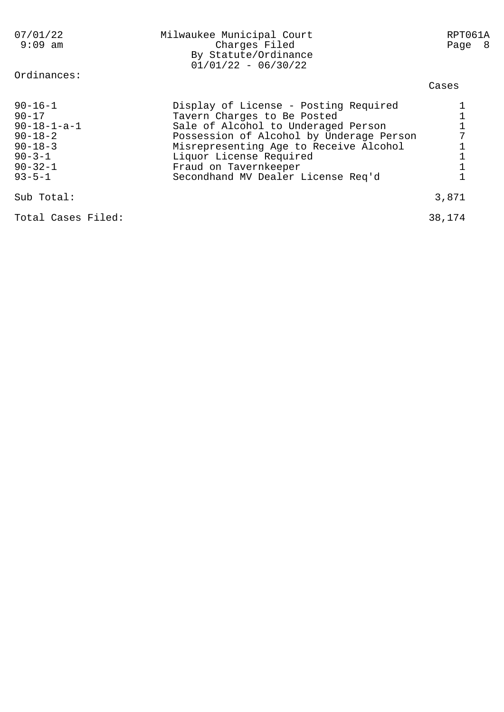| 07/01/22<br>$9:09$ am<br>Ordinances:                                                                                                   | Milwaukee Municipal Court<br>Charges Filed<br>By Statute/Ordinance<br>$01/01/22 - 06/30/22$                                                                                                                                                                                                 | RPT061A<br>Page 8 |
|----------------------------------------------------------------------------------------------------------------------------------------|---------------------------------------------------------------------------------------------------------------------------------------------------------------------------------------------------------------------------------------------------------------------------------------------|-------------------|
|                                                                                                                                        |                                                                                                                                                                                                                                                                                             | Cases             |
| $90 - 16 - 1$<br>$90 - 17$<br>$90 - 18 - 1 - a - 1$<br>$90 - 18 - 2$<br>$90 - 18 - 3$<br>$90 - 3 - 1$<br>$90 - 32 - 1$<br>$93 - 5 - 1$ | Display of License - Posting Required<br>Tavern Charges to Be Posted<br>Sale of Alcohol to Underaged Person<br>Possession of Alcohol by Underage Person<br>Misrepresenting Age to Receive Alcohol<br>Liquor License Required<br>Fraud on Tavernkeeper<br>Secondhand MV Dealer License Req'd |                   |
| Sub Total:                                                                                                                             |                                                                                                                                                                                                                                                                                             | 3,871             |
| Total Cases Filed:                                                                                                                     |                                                                                                                                                                                                                                                                                             | 38,174            |